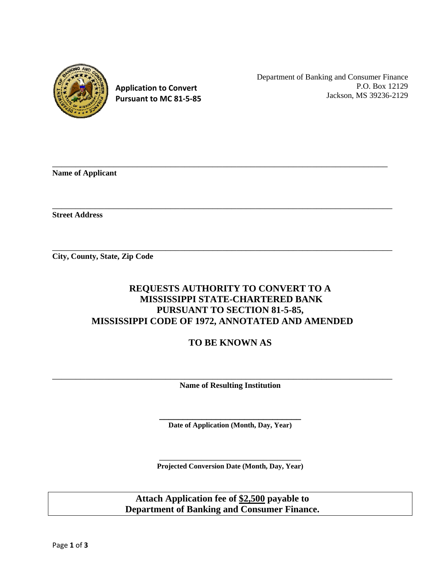

**Application to Convert Pursuant to MC 81‐5‐85** Department of Banking and Consumer Finance P.O. Box 12129 Jackson, MS 39236-2129

**Name of Applicant** 

**Street Address** 

**City, County, State, Zip Code** 

## **REQUESTS AUTHORITY TO CONVERT TO A MISSISSIPPI STATE-CHARTERED BANK PURSUANT TO SECTION 81-5-85, MISSISSIPPI CODE OF 1972, ANNOTATED AND AMENDED**

\_\_\_\_\_\_\_\_\_\_\_\_\_\_\_\_\_\_\_\_\_\_\_\_\_\_\_\_\_\_\_\_\_\_\_\_\_\_\_\_\_\_\_\_\_\_\_\_\_\_\_\_\_\_\_\_\_\_\_\_\_\_\_\_\_\_\_\_\_\_\_

 $\overline{\phantom{a}}$  , and the contribution of the contribution of the contribution of the contribution of the contribution of the contribution of the contribution of the contribution of the contribution of the contribution of the

\_\_\_\_\_\_\_\_\_\_\_\_\_\_\_\_\_\_\_\_\_\_\_\_\_\_\_\_\_\_\_\_\_\_\_\_\_\_\_\_\_\_\_\_\_\_\_\_\_\_\_\_\_\_\_\_\_\_\_\_\_\_\_\_\_\_\_\_\_\_\_\_

**TO BE KNOWN AS** 

**Name of Resulting Institution** 

\_\_\_\_\_\_\_\_\_\_\_\_\_\_\_\_\_\_\_\_\_\_\_\_\_\_\_\_\_\_\_\_\_\_\_\_\_\_\_\_\_\_\_\_\_\_\_\_\_\_\_\_\_\_\_\_\_\_\_\_\_\_\_\_\_\_\_\_\_\_\_\_

Date of Application (Month, Day, Year)

\_\_\_\_\_\_\_\_\_\_\_\_\_\_\_\_\_\_\_\_\_\_\_\_\_\_\_\_\_\_ **Projected Conversion Date (Month, Day, Year)**

**Attach Application fee of \$2,500 payable to Department of Banking and Consumer Finance.**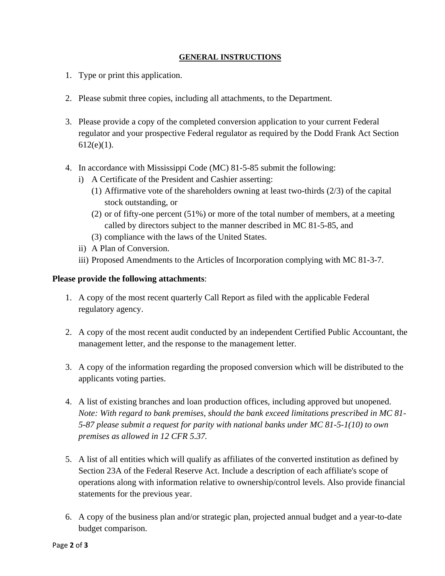## **GENERAL INSTRUCTIONS**

- 1. Type or print this application.
- 2. Please submit three copies, including all attachments, to the Department.
- 3. Please provide a copy of the completed conversion application to your current Federal regulator and your prospective Federal regulator as required by the Dodd Frank Act Section  $612(e)(1)$ .
- 4. In accordance with Mississippi Code (MC) 81-5-85 submit the following:
	- i) A Certificate of the President and Cashier asserting:
		- (1) Affirmative vote of the shareholders owning at least two-thirds (2/3) of the capital stock outstanding, or
		- (2) or of fifty-one percent (51%) or more of the total number of members, at a meeting called by directors subject to the manner described in MC 81-5-85, and
		- (3) compliance with the laws of the United States.
	- ii) A Plan of Conversion.
	- iii) Proposed Amendments to the Articles of Incorporation complying with MC 81-3-7.

## **Please provide the following attachments**:

- 1. A copy of the most recent quarterly Call Report as filed with the applicable Federal regulatory agency.
- 2. A copy of the most recent audit conducted by an independent Certified Public Accountant, the management letter, and the response to the management letter.
- 3. A copy of the information regarding the proposed conversion which will be distributed to the applicants voting parties.
- 4. A list of existing branches and loan production offices, including approved but unopened. *Note: With regard to bank premises, should the bank exceed limitations prescribed in MC 81- 5-87 please submit a request for parity with national banks under MC 81-5-1(10) to own premises as allowed in 12 CFR 5.37.*
- 5. A list of all entities which will qualify as affiliates of the converted institution as defined by Section 23A of the Federal Reserve Act. Include a description of each affiliate's scope of operations along with information relative to ownership/control levels. Also provide financial statements for the previous year.
- 6. A copy of the business plan and/or strategic plan, projected annual budget and a year-to-date budget comparison.